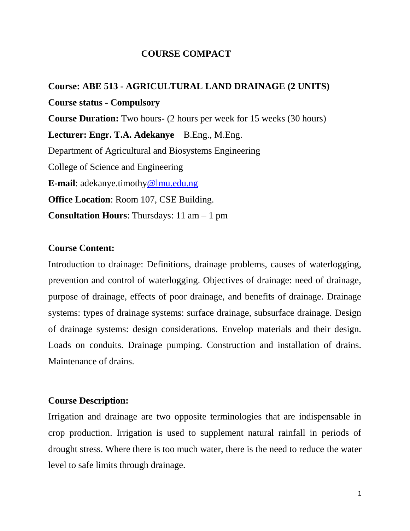## **COURSE COMPACT**

**Course: ABE 513 - AGRICULTURAL LAND DRAINAGE (2 UNITS) Course status - Compulsory Course Duration:** Two hours- (2 hours per week for 15 weeks (30 hours) **Lecturer: Engr. T.A. Adekanye** B.Eng., M.Eng. Department of Agricultural and Biosystems Engineering College of Science and Engineering **E-mail**: adekanye.timothy@lmu.edu.ng **Office Location**: Room 107, CSE Building. **Consultation Hours**: Thursdays: 11 am – 1 pm

### **Course Content:**

Introduction to drainage: Definitions, drainage problems, causes of waterlogging, prevention and control of waterlogging. Objectives of drainage: need of drainage, purpose of drainage, effects of poor drainage, and benefits of drainage. Drainage systems: types of drainage systems: surface drainage, subsurface drainage. Design of drainage systems: design considerations. Envelop materials and their design. Loads on conduits. Drainage pumping. Construction and installation of drains. Maintenance of drains.

### **Course Description:**

Irrigation and drainage are two opposite terminologies that are indispensable in crop production. Irrigation is used to supplement natural rainfall in periods of drought stress. Where there is too much water, there is the need to reduce the water level to safe limits through drainage.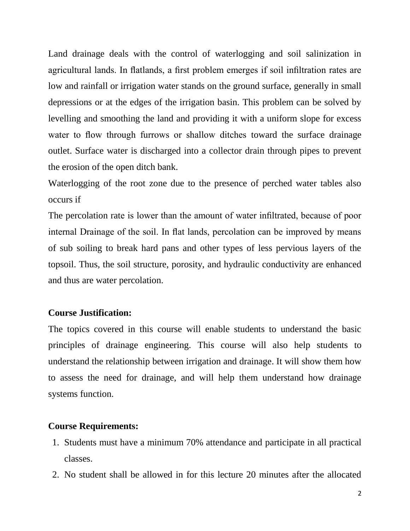Land drainage deals with the control of waterlogging and soil salinization in agricultural lands. In flatlands, a first problem emerges if soil infiltration rates are low and rainfall or irrigation water stands on the ground surface, generally in small depressions or at the edges of the irrigation basin. This problem can be solved by levelling and smoothing the land and providing it with a uniform slope for excess water to flow through furrows or shallow ditches toward the surface drainage outlet. Surface water is discharged into a collector drain through pipes to prevent the erosion of the open ditch bank.

Waterlogging of the root zone due to the presence of perched water tables also occurs if

The percolation rate is lower than the amount of water infiltrated, because of poor internal Drainage of the soil. In flat lands, percolation can be improved by means of sub soiling to break hard pans and other types of less pervious layers of the topsoil. Thus, the soil structure, porosity, and hydraulic conductivity are enhanced and thus are water percolation.

### **Course Justification:**

The topics covered in this course will enable students to understand the basic principles of drainage engineering. This course will also help students to understand the relationship between irrigation and drainage. It will show them how to assess the need for drainage, and will help them understand how drainage systems function.

#### **Course Requirements:**

- 1. Students must have a minimum 70% attendance and participate in all practical classes.
- 2. No student shall be allowed in for this lecture 20 minutes after the allocated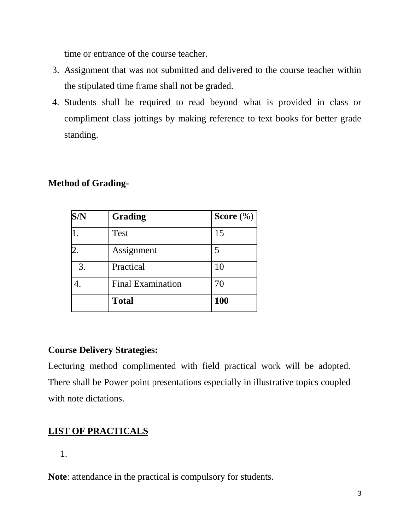time or entrance of the course teacher.

- 3. Assignment that was not submitted and delivered to the course teacher within the stipulated time frame shall not be graded.
- 4. Students shall be required to read beyond what is provided in class or compliment class jottings by making reference to text books for better grade standing.

## **Method of Grading-**

| S/N            | Grading                  | Score $(\%)$ |
|----------------|--------------------------|--------------|
|                | Test                     | 15           |
| $\overline{2}$ | Assignment               | 5            |
| 3.             | Practical                | 10           |
|                | <b>Final Examination</b> | 70           |
|                | <b>Total</b>             | <b>100</b>   |

## **Course Delivery Strategies:**

Lecturing method complimented with field practical work will be adopted. There shall be Power point presentations especially in illustrative topics coupled with note dictations.

# **LIST OF PRACTICALS**

1.

**Note**: attendance in the practical is compulsory for students.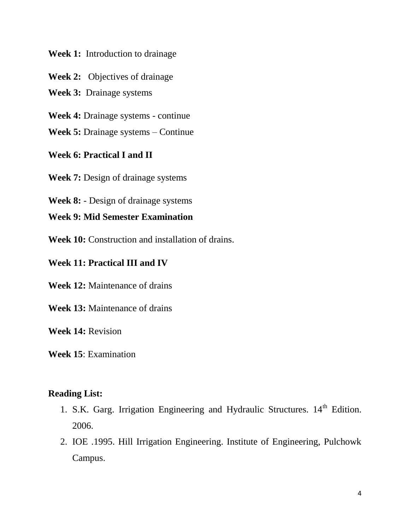#### **Week 1:** Introduction to drainage

**Week 2:** Objectives of drainage

**Week 3:** Drainage systems

**Week 4:** Drainage systems - continue

**Week 5:** Drainage systems – Continue

## **Week 6: Practical I and II**

**Week 7:** Design of drainage systems

**Week 8:** - Design of drainage systems

## **Week 9: Mid Semester Examination**

**Week 10:** Construction and installation of drains.

## **Week 11: Practical III and IV**

**Week 12:** Maintenance of drains

**Week 13:** Maintenance of drains

**Week 14:** Revision

**Week 15**: Examination

## **Reading List:**

- 1. S.K. Garg. Irrigation Engineering and Hydraulic Structures.  $14<sup>th</sup>$  Edition. 2006.
- 2. IOE .1995. Hill Irrigation Engineering. Institute of Engineering, Pulchowk Campus.